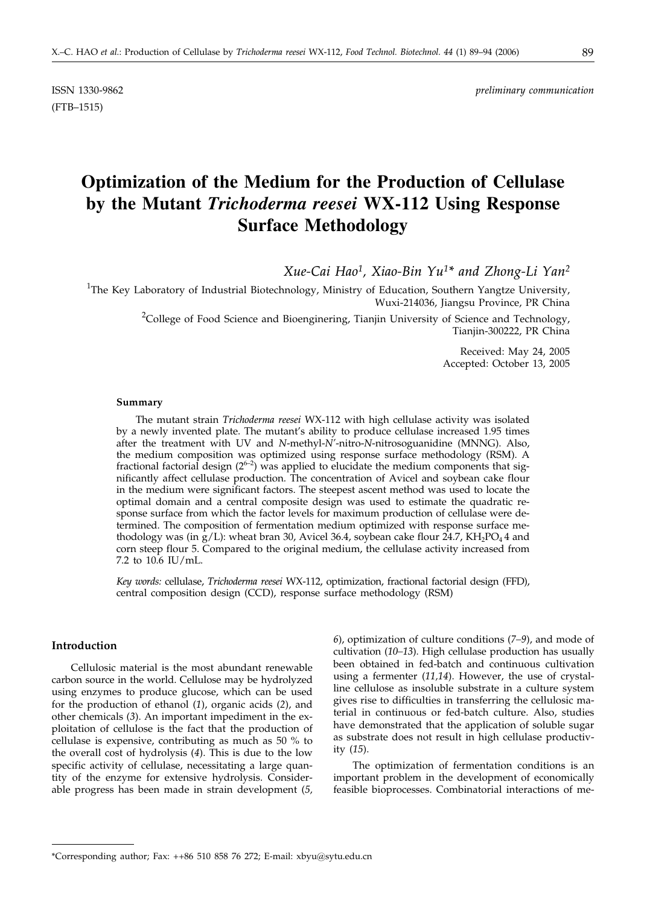(FTB–1515)

# **Optimization of the Medium for the Production of Cellulase by the Mutant** *Trichoderma reesei* **WX-112 Using Response Surface Methodology**

*Xue-Cai Hao1, Xiao-Bin Yu1\* and Zhong-Li Yan2*

<sup>1</sup>The Key Laboratory of Industrial Biotechnology, Ministry of Education, Southern Yangtze University, Wuxi-214036, Jiangsu Province, PR China

> <sup>2</sup>College of Food Science and Bioenginering, Tianjin University of Science and Technology, Tianjin-300222, PR China

> > Received: May 24, 2005 Accepted: October 13, 2005

#### **Summary**

The mutant strain *Trichoderma reesei* WX-112 with high cellulase activity was isolated by a newly invented plate. The mutant's ability to produce cellulase increased 1.95 times after the treatment with UV and *N*-methyl-*N'*-nitro-*N*-nitrosoguanidine (MNNG). Also, the medium composition was optimized using response surface methodology (RSM). A fractional factorial design  $(2^{6-2})$  was applied to elucidate the medium components that significantly affect cellulase production. The concentration of Avicel and soybean cake flour in the medium were significant factors. The steepest ascent method was used to locate the optimal domain and a central composite design was used to estimate the quadratic response surface from which the factor levels for maximum production of cellulase were determined. The composition of fermentation medium optimized with response surface methodology was (in  $g/L$ ): wheat bran 30, Avicel 36.4, soybean cake flour 24.7, KH<sub>2</sub>PO<sub>4</sub> 4 and corn steep flour 5. Compared to the original medium, the cellulase activity increased from 7.2 to 10.6 IU/mL.

*Key words:* cellulase, *Trichoderma reesei* WX-112, optimization, fractional factorial design (FFD), central composition design (CCD), response surface methodology (RSM)

## **Introduction**

Cellulosic material is the most abundant renewable carbon source in the world. Cellulose may be hydrolyzed using enzymes to produce glucose, which can be used for the production of ethanol (*1*), organic acids (*2*), and other chemicals (*3*). An important impediment in the exploitation of cellulose is the fact that the production of cellulase is expensive, contributing as much as 50 % to the overall cost of hydrolysis (*4*). This is due to the low specific activity of cellulase, necessitating a large quantity of the enzyme for extensive hydrolysis. Considerable progress has been made in strain development (*5,*

*6*), optimization of culture conditions (*7–9*), and mode of cultivation (*10–13*). High cellulase production has usually been obtained in fed-batch and continuous cultivation using a fermenter (*11,14*). However, the use of crystalline cellulose as insoluble substrate in a culture system gives rise to difficulties in transferring the cellulosic material in continuous or fed-batch culture. Also, studies have demonstrated that the application of soluble sugar as substrate does not result in high cellulase productivity (*15*).

The optimization of fermentation conditions is an important problem in the development of economically feasible bioprocesses. Combinatorial interactions of me-

<sup>\*</sup>Corresponding author; Fax: ++86 510 858 76 272; E-mail: xbyu@sytu.edu.cn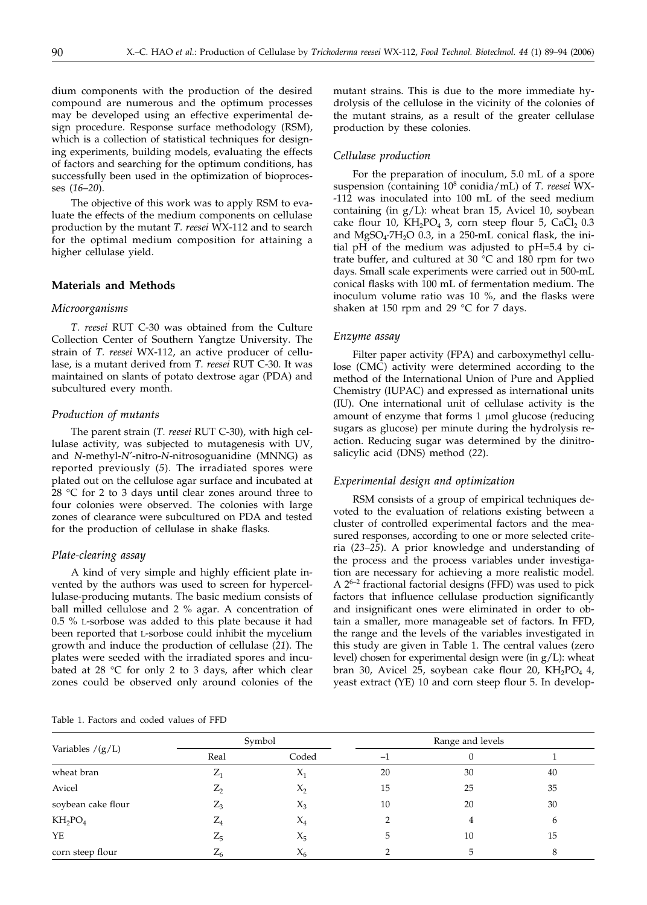dium components with the production of the desired compound are numerous and the optimum processes may be developed using an effective experimental design procedure. Response surface methodology (RSM), which is a collection of statistical techniques for designing experiments, building models, evaluating the effects of factors and searching for the optimum conditions, has successfully been used in the optimization of bioprocesses (*16*–*20*).

The objective of this work was to apply RSM to evaluate the effects of the medium components on cellulase production by the mutant *T. reesei* WX-112 and to search for the optimal medium composition for attaining a higher cellulase yield.

## **Materials and Methods**

## *Microorganisms*

*T. reesei* RUT C-30 was obtained from the Culture Collection Center of Southern Yangtze University. The strain of *T. reesei* WX-11*2*, an active producer of cellulase, is a mutant derived from *T. reesei* RUT C-30. It was maintained on slants of potato dextrose agar (PDA) and subcultured every month.

## *Production of mutants*

The parent strain (*T. reesei* RUT C-30), with high cellulase activity, was subjected to mutagenesis with UV, and *N*-methyl-*N'*-nitro-*N*-nitrosoguanidine (MNNG) as reported previously (*5*). The irradiated spores were plated out on the cellulose agar surface and incubated at 28 °C for 2 to 3 days until clear zones around three to four colonies were observed. The colonies with large zones of clearance were subcultured on PDA and tested for the production of cellulase in shake flasks.

## *Plate-clearing assay*

A kind of very simple and highly efficient plate invented by the authors was used to screen for hypercellulase-producing mutants. The basic medium consists of ball milled cellulose and 2 % agar. A concentration of 0.5 % L-sorbose was added to this plate because it had been reported that L-sorbose could inhibit the mycelium growth and induce the production of cellulase (*21*). The plates were seeded with the irradiated spores and incubated at 28 °C for only 2 to 3 days, after which clear zones could be observed only around colonies of the

Table 1. Factors and coded values of FFD

mutant strains. This is due to the more immediate hydrolysis of the cellulose in the vicinity of the colonies of the mutant strains, as a result of the greater cellulase production by these colonies.

## *Cellulase production*

For the preparation of inoculum, 5.0 mL of a spore suspension (containing 108 conidia/mL) of *T. reesei* WX- -112 was inoculated into 100 mL of the seed medium containing (in  $g/L$ ): wheat bran 15, Avicel 10, soybean cake flour 10,  $KH_2PO_4$  3, corn steep flour 5, CaCl<sub>2</sub> 0.3 and  $MgSO_4$ ·7H<sub>2</sub>O 0.3, in a 250-mL conical flask, the initial pH of the medium was adjusted to pH=5.4 by citrate buffer, and cultured at 30  $^{\circ}$ C and 180 rpm for two days. Small scale experiments were carried out in 500-mL conical flasks with 100 mL of fermentation medium. The inoculum volume ratio was 10 %, and the flasks were shaken at 150 rpm and 29 °C for 7 days.

#### *Enzyme assay*

Filter paper activity (FPA) and carboxymethyl cellulose (CMC) activity were determined according to the method of the International Union of Pure and Applied Chemistry (IUPAC) and expressed as international units (IU). One international unit of cellulase activity is the amount of enzyme that forms 1 µmol glucose (reducing sugars as glucose) per minute during the hydrolysis reaction. Reducing sugar was determined by the dinitrosalicylic acid (DNS) method (*22*).

## *Experimental design and optimization*

RSM consists of a group of empirical techniques devoted to the evaluation of relations existing between a cluster of controlled experimental factors and the measured responses, according to one or more selected criteria (*23–25*). A prior knowledge and understanding of the process and the process variables under investigation are necessary for achieving a more realistic model. A  $2^{6-2}$  fractional factorial designs (FFD) was used to pick factors that influence cellulase production significantly and insignificant ones were eliminated in order to obtain a smaller, more manageable set of factors. In FFD, the range and the levels of the variables investigated in this study are given in Table 1. The central values (zero level) chosen for experimental design were (in g/L): wheat bran 30, Avicel 25, soybean cake flour 20,  $KH_2PO_4$  4, yeast extract (YE) 10 and corn steep flour 5. In develop-

| Variables $/(g/L)$ | Symbol     |       | Range and levels |    |    |  |
|--------------------|------------|-------|------------------|----|----|--|
|                    | Real       | Coded | $-1$             |    |    |  |
| wheat bran         | 7<br>$L_1$ | $X_1$ | 20               | 30 | 40 |  |
| Avicel             | $Z_{2}$    | $X_2$ | 15               | 25 | 35 |  |
| soybean cake flour | $Z_3$      | $X_3$ | 10               | 20 | 30 |  |
| $KH_2PO_4$         | $Z_4$      | $X_4$ |                  |    | 6  |  |
| YE                 | $Z_5$      | $X_5$ | 5                | 10 | 15 |  |
| corn steep flour   | $L_6$      | $X_6$ |                  |    |    |  |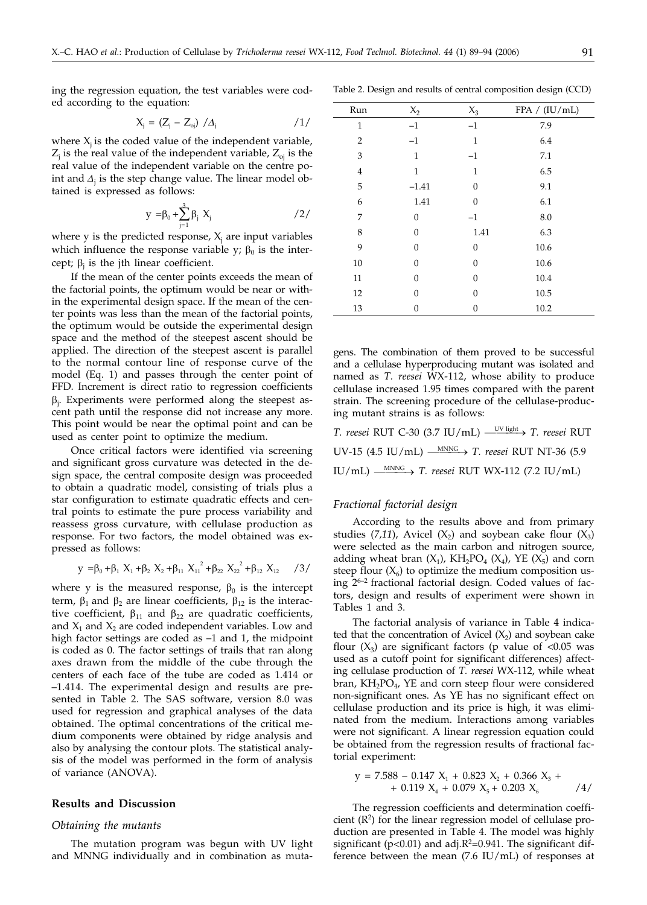ing the regression equation, the test variables were coded according to the equation:

$$
X_{i} = (Z_{i} - Z_{oj}) / \Delta_{i}
$$

where  $X_i$  is the coded value of the independent variable,  $Z_i$  is the real value of the independent variable,  $Z_{oi}$  is the real value of the independent variable on the centre point and  $\Delta_i$  is the step change value. The linear model obtained is expressed as follows:

$$
y = \beta_0 + \sum_{j=1}^{3} \beta_j X_j
$$
 (2)

where y is the predicted response,  $X_i$  are input variables which influence the response variable y;  $\beta_0$  is the intercept;  $\beta_j$  is the jth linear coefficient.

If the mean of the center points exceeds the mean of the factorial points, the optimum would be near or within the experimental design space. If the mean of the center points was less than the mean of the factorial points, the optimum would be outside the experimental design space and the method of the steepest ascent should be applied. The direction of the steepest ascent is parallel to the normal contour line of response curve of the model (Eq. 1) and passes through the center point of FFD. Increment is direct ratio to regression coefficients  $\beta_j$ . Experiments were performed along the steepest ascent path until the response did not increase any more. This point would be near the optimal point and can be used as center point to optimize the medium.

Once critical factors were identified via screening and significant gross curvature was detected in the design space, the central composite design was proceeded to obtain a quadratic model, consisting of trials plus a star configuration to estimate quadratic effects and central points to estimate the pure process variability and reassess gross curvature, with cellulase production as response. For two factors, the model obtained was expressed as follows:

$$
y = \beta_0 + \beta_1 X_1 + \beta_2 X_2 + \beta_{11} X_{11}^2 + \beta_{22} X_{22}^2 + \beta_{12} X_{12} / 3
$$

where y is the measured response,  $\beta_0$  is the intercept term,  $\beta_1$  and  $\beta_2$  are linear coefficients,  $\beta_{12}$  is the interactive coefficient,  $\beta_{11}$  and  $\beta_{22}$  are quadratic coefficients, and  $X_1$  and  $X_2$  are coded independent variables. Low and high factor settings are coded as  $-1$  and 1, the midpoint is coded as 0. The factor settings of trails that ran along axes drawn from the middle of the cube through the centers of each face of the tube are coded as 1.414 or –1.414. The experimental design and results are presented in Table 2. The SAS software, version 8.0 was used for regression and graphical analyses of the data obtained. The optimal concentrations of the critical medium components were obtained by ridge analysis and also by analysing the contour plots. The statistical analysis of the model was performed in the form of analysis of variance (ANOVA).

## **Results and Discussion**

#### *Obtaining the mutants*

The mutation program was begun with UV light and MNNG individually and in combination as muta-

| Run            | $X_2$          | $X_3$        | FPA / (IU/mL) |
|----------------|----------------|--------------|---------------|
| $\mathbf{1}$   | $-1$           | $-1$         | 7.9           |
| $\overline{2}$ | $-1$           | $\mathbf 1$  | 6.4           |
| 3              | $\mathbf{1}$   | $-1$         | 7.1           |
| $\bf 4$        | $\mathbf{1}$   | $\mathbf{1}$ | 6.5           |
| 5              | $-1.41$        | 0            | 9.1           |
| 6              | 1.41           | 0            | 6.1           |
| 7              | $\mathbf{0}$   | $-1$         | 8.0           |
| 8              | 0              | 1.41         | 6.3           |
| 9              | $\overline{0}$ | 0            | 10.6          |
| 10             | $\overline{0}$ | 0            | 10.6          |
| 11             | $\mathbf{0}$   | 0            | 10.4          |
| 12             | $\mathbf{0}$   | 0            | 10.5          |
| 13             | 0              | 0            | 10.2          |

Table 2. Design and results of central composition design (CCD)

gens. The combination of them proved to be successful and a cellulase hyperproducing mutant was isolated and named as *T. reesei* WX-112, whose ability to produce cellulase increased 1.95 times compared with the parent strain. The screening procedure of the cellulase-producing mutant strains is as follows:

*T. reesei* RUT C−30 (3.7 IU/mL) —<sup>UV light</sup>→ *T. reesei* RUT UV-15 (4.5 IU/mL) <del>− <sup>MNNG</sup> γ</del> *T. reesei* RUT NT-36 (5.9 IU/mL) MNNG *T. reesei* RUT WX-112 (7.2 IU/mL)

## *Fractional factorial design*

According to the results above and from primary studies (7,11), Avicel (X<sub>2</sub>) and soybean cake flour (X<sub>3</sub>) were selected as the main carbon and nitrogen source, adding wheat bran  $(X_1)$ , KH<sub>2</sub>PO<sub>4</sub>  $(X_4)$ , YE  $(X_5)$  and corn steep flour  $(X_6)$  to optimize the medium composition using  $2^{6-2}$  fractional factorial design. Coded values of factors, design and results of experiment were shown in Tables 1 and 3.

The factorial analysis of variance in Table 4 indicated that the concentration of Avicel  $(X_2)$  and soybean cake flour  $(X_3)$  are significant factors (p value of  $< 0.05$  was used as a cutoff point for significant differences) affecting cellulase production of *T. reesei* WX-112, while wheat bran,  $KH_2PO_4$ , YE and corn steep flour were considered non-significant ones. As YE has no significant effect on cellulase production and its price is high, it was eliminated from the medium. Interactions among variables were not significant. A linear regression equation could be obtained from the regression results of fractional factorial experiment:

$$
y = 7.588 - 0.147 X1 + 0.823 X2 + 0.366 X3 ++ 0.119 X4 + 0.079 X5 + 0.203 X6 / 4/
$$

The regression coefficients and determination coefficient (R2 ) for the linear regression model of cellulase production are presented in Table 4. The model was highly significant ( $p<0.01$ ) and adj. $R^2=0.941$ . The significant difference between the mean  $(7.6 \text{ IU/mL})$  of responses at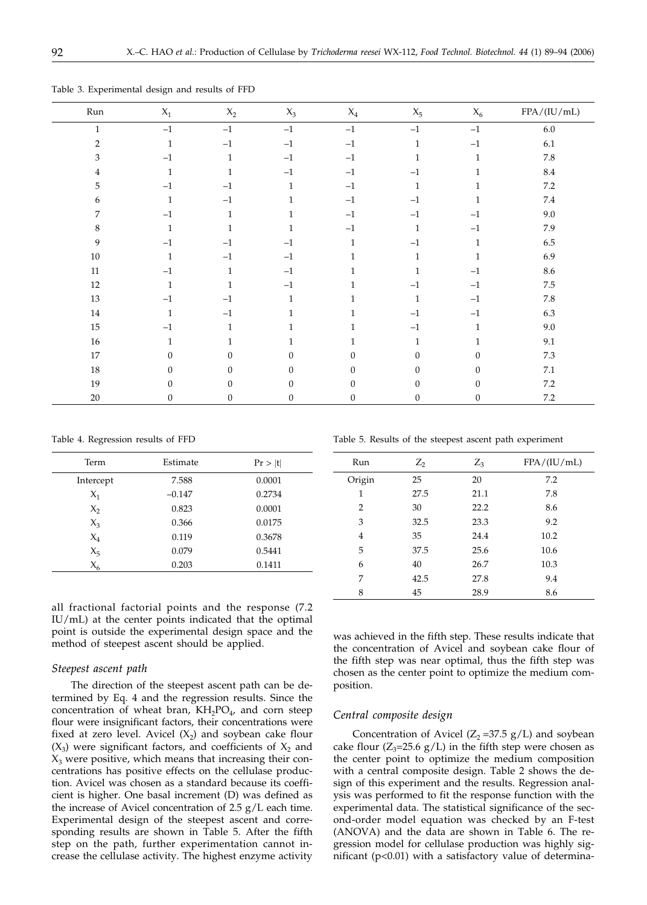| Run          | $\mathbf{X}_1$ | $\mathbf{X}_2$   | $\mathbf{X}_3$ | $\mathbf{X}_4$   | $\mathsf{X}_5$   | $\mathbf{X}_6$ | FPA/(IU/mL) |
|--------------|----------------|------------------|----------------|------------------|------------------|----------------|-------------|
| $\mathbf{1}$ | $-1$           | $-1$             | $-1$           | $-1$             | $-1$             | $-1$           | $6.0\,$     |
| $\sqrt{2}$   | $\mathbf{1}$   | $-1$             | $-1$           | $-1$             | $\mathbf{1}$     | $-1$           | $6.1\,$     |
| 3            | $-1$           | 1                | $-1$           | $-1$             | 1                | 1              | $7.8\,$     |
| 4            | $\mathbf{1}$   | 1                | $-1$           | $-1$             | $-1$             | 1              | $\ \, 8.4$  |
| 5            | $-1$           | $-1$             | $\mathbf{1}$   | $-1$             | $\mathbf{1}$     | 1              | 7.2         |
| 6            | $\mathbf{1}$   | $-1$             | $\mathbf{1}$   | $-1$             | $-1$             | 1              | $7.4\,$     |
| 7            | $-1$           | $\mathbf{1}$     | $\mathbf{1}$   | $-1$             | $-1$             | $-1$           | $9.0\,$     |
| 8            | $\mathbf{1}$   | $\mathbf{1}$     | $\mathbf{1}$   | $-1$             | $\mathbf{1}$     | $-1$           | 7.9         |
| 9            | $-1$           | $-1$             | $-1$           | $\mathbf{1}$     | $-1$             | $\mathbf{1}$   | $6.5\,$     |
| $10\,$       | $\mathbf{1}$   | $-1$             | $-1$           | $\mathbf{1}$     | $\mathbf{1}$     | $\mathbf{1}$   | 6.9         |
| $11\,$       | $-1$           | $\mathbf{1}$     | $-1$           | $\mathbf{1}$     | $\mathbf{1}$     | $-1$           | $8.6\,$     |
| $12\,$       | 1              | $\mathbf{1}$     | $-1$           | $\mathbf{1}$     | $-1$             | $-1$           | 7.5         |
| $13\,$       | $-1$           | $-1$             | $\mathbf{1}$   | $\mathbf{1}$     | $\mathbf{1}$     | $-1$           | $7.8\,$     |
| $14\,$       | $\mathbf{1}$   | $-1$             | 1              | 1                | $-1$             | $-1$           | 6.3         |
| $15\,$       | $-1$           | $\mathbf{1}$     | 1              | 1                | $-1$             | $\mathbf{1}$   | $9.0\,$     |
| $16\,$       | 1              | 1                | 1              | 1                | $\mathbf{1}$     | 1              | 9.1         |
| 17           | $\mathbf{0}$   | $\mathbf{0}$     | $\theta$       | $\mathbf{0}$     | $\overline{0}$   | $\theta$       | 7.3         |
| $18\,$       | $\mathbf{0}$   | $\mathbf{0}$     | $\Omega$       | $\mathbf{0}$     | $\theta$         | $\Omega$       | 7.1         |
| 19           | $\mathbf{0}$   | $\boldsymbol{0}$ | $\Omega$       | $\boldsymbol{0}$ | $\boldsymbol{0}$ | $\theta$       | $7.2\,$     |
| $20\,$       | $\theta$       | $\mathbf{0}$     | $\Omega$       | $\mathbf{0}$     | $\theta$         | $\theta$       | $7.2\,$     |

Table 3. Experimental design and results of FFD

Table 4. Regression results of FFD

| Term      | Estimate | Pr >  t |
|-----------|----------|---------|
| Intercept | 7.588    | 0.0001  |
| $X_1$     | $-0.147$ | 0.2734  |
| $X_2$     | 0.823    | 0.0001  |
| $X_3$     | 0.366    | 0.0175  |
| $X_4$     | 0.119    | 0.3678  |
| $X_5$     | 0.079    | 0.5441  |
| $X_6$     | 0.203    | 0.1411  |

all fractional factorial points and the response (7.2 IU/mL) at the center points indicated that the optimal point is outside the experimental design space and the method of steepest ascent should be applied.

## *Steepest ascent path*

The direction of the steepest ascent path can be determined by Eq. 4 and the regression results. Since the concentration of wheat bran,  $KH_2PO_4$ , and corn steep flour were insignificant factors, their concentrations were fixed at zero level. Avicel  $(X_2)$  and soybean cake flour  $(X_3)$  were significant factors, and coefficients of  $X_2$  and  $X_3$  were positive, which means that increasing their concentrations has positive effects on the cellulase production. Avicel was chosen as a standard because its coefficient is higher. One basal increment (D) was defined as the increase of Avicel concentration of 2.5 g/L each time. Experimental design of the steepest ascent and corresponding results are shown in Table 5. After the fifth step on the path, further experimentation cannot increase the cellulase activity. The highest enzyme activity

Table 5. Results of the steepest ascent path experiment

| Run    | $Z_2$ | $Z_3$ | FPA/(IU/mL) |
|--------|-------|-------|-------------|
| Origin | 25    | 20    | 7.2         |
| 1      | 27.5  | 21.1  | 7.8         |
| 2      | 30    | 22.2  | 8.6         |
| 3      | 32.5  | 23.3  | 9.2         |
| 4      | 35    | 24.4  | 10.2        |
| 5      | 37.5  | 25.6  | 10.6        |
| 6      | 40    | 26.7  | 10.3        |
| 7      | 42.5  | 27.8  | 9.4         |
| 8      | 45    | 28.9  | 8.6         |

was achieved in the fifth step. These results indicate that the concentration of Avicel and soybean cake flour of the fifth step was near optimal, thus the fifth step was chosen as the center point to optimize the medium composition.

## *Central composite design*

Concentration of Avicel ( $Z_2$ =37.5 g/L) and soybean cake flour  $(Z_3=25.6 \text{ g}/L)$  in the fifth step were chosen as the center point to optimize the medium composition with a central composite design. Table 2 shows the design of this experiment and the results. Regression analysis was performed to fit the response function with the experimental data. The statistical significance of the second-order model equation was checked by an F-test (ANOVA) and the data are shown in Table 6. The regression model for cellulase production was highly significant (p<0.01) with a satisfactory value of determina-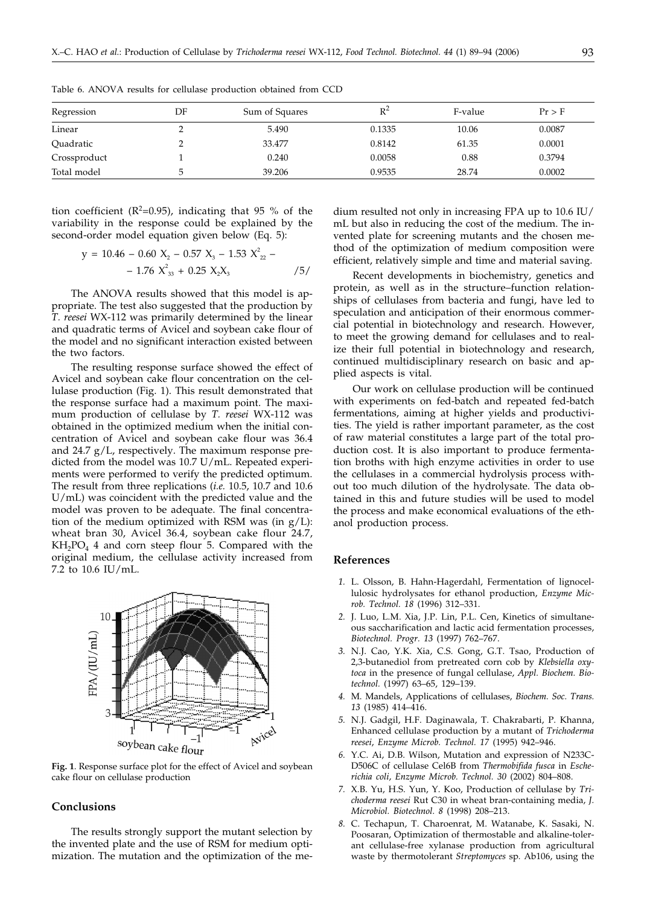| Regression   | DF | Sum of Squares | $R^2$  | F-value | $Pr$ > F |
|--------------|----|----------------|--------|---------|----------|
| Linear       |    | 5.490          | 0.1335 | 10.06   | 0.0087   |
| Quadratic    |    | 33.477         | 0.8142 | 61.35   | 0.0001   |
| Crossproduct |    | 0.240          | 0.0058 | 0.88    | 0.3794   |
| Total model  | ь. | 39.206         | 0.9535 | 28.74   | 0.0002   |

Table 6. ANOVA results for cellulase production obtained from CCD

tion coefficient ( $R^2=0.95$ ), indicating that 95 % of the variability in the response could be explained by the second-order model equation given below (Eq. 5):

$$
y = 10.46 - 0.60 X_2 - 0.57 X_3 - 1.53 X_{22}^2 - 1.76 X_{33}^2 + 0.25 X_2 X_3
$$
 /5/

The ANOVA results showed that this model is appropriate. The test also suggested that the production by *T. reesei* WX-112 was primarily determined by the linear and quadratic terms of Avicel and soybean cake flour of the model and no significant interaction existed between the two factors.

The resulting response surface showed the effect of Avicel and soybean cake flour concentration on the cellulase production (Fig. 1). This result demonstrated that the response surface had a maximum point. The maximum production of cellulase by *T. reesei* WX-112 was obtained in the optimized medium when the initial concentration of Avicel and soybean cake flour was 36.4 and 24.7 g/L, respectively. The maximum response predicted from the model was 10.7 U/mL. Repeated experiments were performed to verify the predicted optimum. The result from three replications (*i.e.* 10.5, 10.7 and 10.6 U/mL) was coincident with the predicted value and the model was proven to be adequate. The final concentration of the medium optimized with RSM was (in  $g/L$ ): wheat bran 30, Avicel 36.4, soybean cake flour 24.7,  $KH<sub>2</sub>PO<sub>4</sub>$  4 and corn steep flour 5. Compared with the original medium, the cellulase activity increased from 7.2 to 10.6 IU/mL.



**Fig. 1**. Response surface plot for the effect of Avicel and soybean cake flour on cellulase production

## **Conclusions**

The results strongly support the mutant selection by the invented plate and the use of RSM for medium optimization. The mutation and the optimization of the me-

dium resulted not only in increasing FPA up to 10.6 IU/ mL but also in reducing the cost of the medium. The invented plate for screening mutants and the chosen method of the optimization of medium composition were efficient, relatively simple and time and material saving.

Recent developments in biochemistry, genetics and protein, as well as in the structure–function relationships of cellulases from bacteria and fungi, have led to speculation and anticipation of their enormous commercial potential in biotechnology and research. However, to meet the growing demand for cellulases and to realize their full potential in biotechnology and research, continued multidisciplinary research on basic and applied aspects is vital.

Our work on cellulase production will be continued with experiments on fed-batch and repeated fed-batch fermentations, aiming at higher yields and productivities. The yield is rather important parameter, as the cost of raw material constitutes a large part of the total production cost. It is also important to produce fermentation broths with high enzyme activities in order to use the cellulases in a commercial hydrolysis process without too much dilution of the hydrolysate. The data obtained in this and future studies will be used to model the process and make economical evaluations of the ethanol production process.

## **References**

- *1.* L. Olsson, B. Hahn-Hagerdahl, Fermentation of lignocellulosic hydrolysates for ethanol production, *Enzyme Microb. Technol. 18* (1996) 312–331.
- *2.* J. Luo, L.M. Xia, J.P. Lin, P.L. Cen, Kinetics of simultaneous saccharification and lactic acid fermentation processes, *Biotechnol. Progr. 13* (1997) 762–767.
- *3.* N.J. Cao, Y.K. Xia, C.S. Gong, G.T. Tsao, Production of 2,3-butanediol from pretreated corn cob by *Klebsiella oxytoca* in the presence of fungal cellulase, *Appl. Biochem. Biotechnol.* (1997) 63–65, 129–139.
- *4.* M. Mandels, Applications of cellulases, *Biochem. Soc. Trans. 13* (1985) 414–416.
- *5.* N.J. Gadgil, H.F. Daginawala, T. Chakrabarti, P. Khanna, Enhanced cellulase production by a mutant of *Trichoderma reesei*, *Enzyme Microb. Technol. 17* (1995) 942–946.
- *6.* Y.C. Ai, D.B. Wilson, Mutation and expression of N233C-D506C of cellulase Cel6B from *Thermobifida fusca* in *Escherichia coli*, *Enzyme Microb. Technol. 30* (2002) 804–808.
- *7.* X.B. Yu, H.S. Yun, Y. Koo, Production of cellulase by *Trichoderma reesei* Rut C30 in wheat bran-containing media, *J. Microbiol. Biotechnol. 8* (1998) 208–213.
- *8.* C. Techapun, T. Charoenrat, M. Watanabe, K. Sasaki, N. Poosaran, Optimization of thermostable and alkaline-tolerant cellulase-free xylanase production from agricultural waste by thermotolerant *Streptomyces* sp*.* Ab106, using the